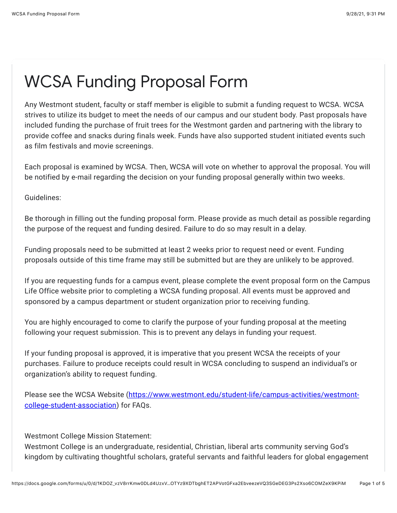## WCSA Funding Proposal Form

Any Westmont student, faculty or staff member is eligible to submit a funding request to WCSA. WCSA strives to utilize its budget to meet the needs of our campus and our student body. Past proposals have included funding the purchase of fruit trees for the Westmont garden and partnering with the library to provide coffee and snacks during finals week. Funds have also supported student initiated events such as film festivals and movie screenings.

Each proposal is examined by WCSA. Then, WCSA will vote on whether to approval the proposal. You will be notified by e-mail regarding the decision on your funding proposal generally within two weeks.

Guidelines:

Be thorough in filling out the funding proposal form. Please provide as much detail as possible regarding the purpose of the request and funding desired. Failure to do so may result in a delay.

Funding proposals need to be submitted at least 2 weeks prior to request need or event. Funding proposals outside of this time frame may still be submitted but are they are unlikely to be approved.

If you are requesting funds for a campus event, please complete the event proposal form on the Campus Life Office website prior to completing a WCSA funding proposal. All events must be approved and sponsored by a campus department or student organization prior to receiving funding.

You are highly encouraged to come to clarify the purpose of your funding proposal at the meeting following your request submission. This is to prevent any delays in funding your request.

If your funding proposal is approved, it is imperative that you present WCSA the receipts of your purchases. Failure to produce receipts could result in WCSA concluding to suspend an individual's or organization's ability to request funding.

[Please see the WCSA Website \(https://www.westmont.edu/student-life/campus-activities/westmont](https://www.google.com/url?q=https://www.westmont.edu/student-life/campus-activities/westmont-college-student-association&sa=D&source=editors&ust=1632893492958000&usg=AFQjCNE2OLL19P0euuLmwn6F3IAmjT_EYQ)college-student-association) for FAQs.

Westmont College Mission Statement:

Westmont College is an undergraduate, residential, Christian, liberal arts community serving God's kingdom by cultivating thoughtful scholars, grateful servants and faithful leaders for global engagement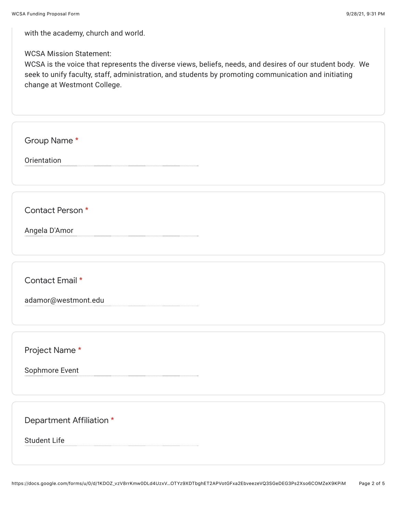with the academy, church and world.

## WCSA Mission Statement:

WCSA is the voice that represents the diverse views, beliefs, needs, and desires of our student body. We seek to unify faculty, staff, administration, and students by promoting communication and initiating change at Westmont College.

Group Name \*

Orientation

Contact Person \*

Angela D'Amor

Contact Email \*

adamor@westmont.edu

Project Name \*

Sophmore Event

Department Affiliation \*

Student Life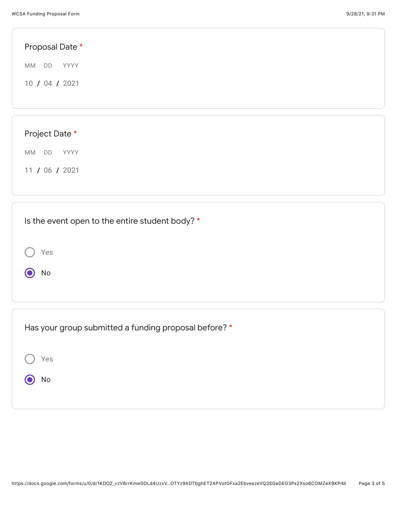| Proposal Date *                                 |  |  |
|-------------------------------------------------|--|--|
| MM DD<br>YYYY                                   |  |  |
| 10 / 04 / 2021                                  |  |  |
|                                                 |  |  |
|                                                 |  |  |
| Project Date *                                  |  |  |
| MM DD<br>YYYY                                   |  |  |
| 11 / 06 / 2021                                  |  |  |
|                                                 |  |  |
|                                                 |  |  |
| Is the event open to the entire student body? * |  |  |

| Has your group submitted a funding proposal before? * |  |
|-------------------------------------------------------|--|
|-------------------------------------------------------|--|

Yes O No

Yes

No

 $\odot$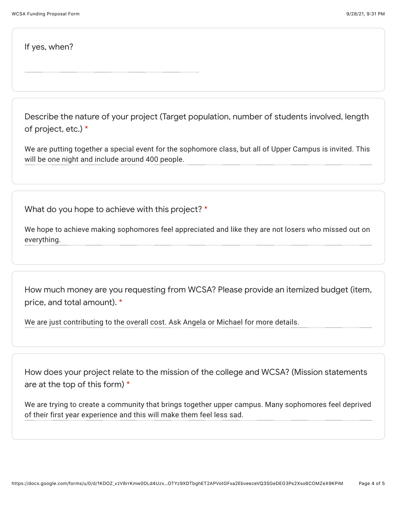If yes, when?

Describe the nature of your project (Target population, number of students involved, length of project, etc.) \*

We are putting together a special event for the sophomore class, but all of Upper Campus is invited. This will be one night and include around 400 people.

What do you hope to achieve with this project? \*

We hope to achieve making sophomores feel appreciated and like they are not losers who missed out on everything.

How much money are you requesting from WCSA? Please provide an itemized budget (item, price, and total amount). \*

We are just contributing to the overall cost. Ask Angela or Michael for more details.

How does your project relate to the mission of the college and WCSA? (Mission statements are at the top of this form) \*

We are trying to create a community that brings together upper campus. Many sophomores feel deprived of their first year experience and this will make them feel less sad.